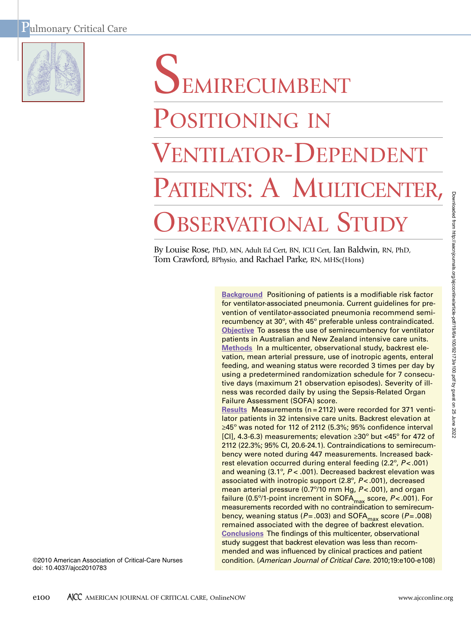## Pulmonary Critical Care



# BEMIRECUMBENT POSITIONING IN VENTILATOR-DEPENDENT PATIENTS: A MULTICENT BSERVATIONAL STUDY

By Louise Rose, PhD, MN, Adult Ed Cert, BN, ICU Cert, Ian Baldwin, RN, PhD, Tom Crawford, BPhysio, and Rachael Parke, RN, MHSc(Hons)

> **Background** Positioning of patients is a modifiable risk factor for ventilator-associated pneumonia. Current guidelines for prevention of ventilator-associated pneumonia recommend semirecumbency at 30º, with 45º preferable unless contraindicated. **Objective** To assess the use of semirecumbency for ventilator patients in Australian and New Zealand intensive care units. **Methods** In a multicenter, observational study, backrest elevation, mean arterial pressure, use of inotropic agents, enteral feeding, and weaning status were recorded 3 times per day by using a predetermined randomization schedule for 7 consecutive days (maximum 21 observation episodes). Severity of illness was recorded daily by using the Sepsis-Related Organ Failure Assessment (SOFA) score. **Results** Measurements (n = 2112) were recorded for 371 ventilator patients in 32 intensive care units. Backrest elevation at ≥45º was noted for 112 of 2112 (5.3%; 95% confidence interval [CI], 4.3-6.3) measurements; elevation ≥30º but <45º for 472 of 2112 (22.3%; 95% CI, 20.6-24.1). Contraindications to semirecumbency were noted during 447 measurements. Increased backrest elevation occurred during enteral feeding (2.2º, *P* < .001) and weaning (3.1º, *P* < .001). Decreased backrest elevation was associated with inotropic support (2.8º, *P* < .001), decreased mean arterial pressure (0.7<sup>o</sup>/10 mm Hg,  $P < .001$ ), and organ failure (0.5º/1-point increment in SOFAmax score, *P* < .001). For measurements recorded with no contraindication to semirecumbency, weaning status ( $P = .003$ ) and SOFA<sub>max</sub> score ( $P = .008$ ) remained associated with the degree of backrest elevation. **Conclusions** The findings of this multicenter, observational study suggest that backrest elevation was less than recommended and was influenced by clinical practices and patient condition. (*American Journal of Critical Care.* 2010;19:e100-e108)

©2010 American Association of Critical-Care Nurses doi: 10.4037/ajcc2010783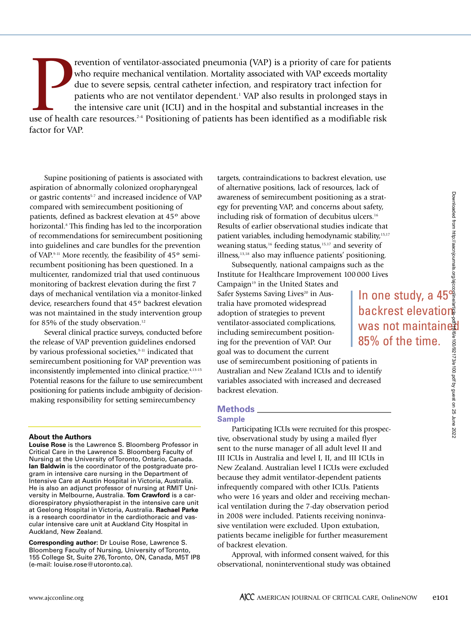85% of the time.

Frevention of ventilator-associated pneumonia (VAP) is a priority of care for patient who require mechanical ventilation. Mortality associated with VAP exceeds mortality due to severe sepsis, central catheter infection, an revention of ventilator-associated pneumonia (VAP) is a priority of care for patients who require mechanical ventilation. Mortality associated with VAP exceeds mortality due to severe sepsis, central catheter infection, and respiratory tract infection for patients who are not ventilator dependent. <sup>1</sup> VAP also results in prolonged stays in the intensive care unit (ICU) and in the hospital and substantial increases in the factor for VAP.

Supine positioning of patients is associated with aspiration of abnormally colonized oropharyngeal or gastric contents<sup>5-7</sup> and increased incidence of VAP compared with semirecumbent positioning of patients, defined as backrest elevation at 45º above horizontal. <sup>8</sup> This finding has led to the incorporation of recommendations for semirecumbent positioning into guidelines and care bundles for the prevention of VAP.<sup>9-11</sup> More recently, the feasibility of 45<sup>o</sup> semirecumbent positioning has been questioned. In a multicenter, randomized trial that used continuous monitoring of backrest elevation during the first 7 days of mechanical ventilation via a monitor-linked device, researchers found that 45º backrest elevation was not maintained in the study intervention group for 85% of the study observation.<sup>12</sup>

Several clinical practice surveys, conducted before the release of VAP prevention guidelines endorsed by various professional societies, 9-11 indicated that semirecumbent positioning for VAP prevention was inconsistently implemented into clinical practice. 4,13-15 Potential reasons for the failure to use semirecumbent positioning for patients include ambiguity of decisionmaking responsibility for setting semirecumbency

### **About the Authors**

**Louise Rose** is the Lawrence S. Bloomberg Professor in Critical Care in the Lawrence S. Bloomberg Faculty of Nursing at the University ofToronto, Ontario, Canada. **Ian Baldwin** is the coordinator of the postgraduate program in intensive care nursing in the Department of Intensive Care at Austin Hospital in Victoria, Australia. He is also an adjunct professor of nursing at RMIT University in Melbourne, Australia. **Tom Crawford** is a cardiorespiratory physiotherapist in the intensive care unit at Geelong Hospital in Victoria, Australia. **Rachael Parke** is a research coordinator in the cardiothoracic and vascular intensive care unit at Auckland City Hospital in Auckland, New Zealand.

**Corresponding author:** Dr Louise Rose, Lawrence S. Bloomberg Faculty of Nursing, University of Toronto, 155 College St, Suite 276,Toronto, ON, Canada, M5T IP8 (e-mail: louise.rose@utoronto.ca).

targets, contraindications to backrest elevation, use of alternative positions, lack of resources, lack of awareness of semirecumbent positioning as a strategy for preventing VAP, and concerns about safety, including risk of formation of decubitus ulcers. 16 Results of earlier observational studies indicate that patient variables, including hemodynamic stability,<sup>15,17</sup> 15,17 weaning status, <sup>16</sup> feeding status, 15,17 and severity of illness, 13,18 also may influence patients' positioning.

Subsequently, national campaigns such as the Institute for Healthcare Improvement 100 000 Lives Campaign<sup>19</sup> in the United States and

Safer Systems Saving Lives<sup>20</sup> in Australia have promoted widespread adoption of strategies to prevent ventilator-associated complications, including semirecumbent positioning for the prevention of VAP. Our goal was to document the current

use of semirecumbent positioning of patients in Australian and New Zealand ICUs and to identify variables associated with increased and decreased backrest elevation. Was not maintained<br>
85% of the time.<br>
ents in<br>
identify<br>
creased<br>
sense is a substrained<br>
is prospec-

### **Methods**

### **Sample**

Participating ICUs were recruited for this prospective, observational study by using a mailed flyer sent to the nurse manager of all adult level II and III ICUs in Australia and level I, II, and III ICUs in New Zealand. Australian level I ICUs were excluded because they admit ventilator-dependent patients infrequently compared with other ICUs. Patients who were 16 years and older and receiving mechanical ventilation during the 7-day observation period in 2008 were included. Patients receiving noninvasive ventilation were excluded. Upon extubation, patients became ineligible for further measurement of backrest elevation.

Approval, with informed consent waived, for this observational, noninterventional study was obtained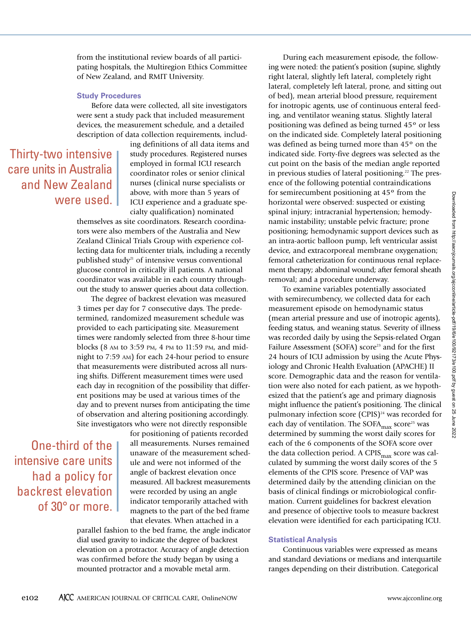from the institutional review boards of all participating hospitals, the Multiregion Ethics Committee of New Zealand, and RMIT University.

### **Study Procedures**

Before data were collected, all site investigators were sent a study pack that included measurement devices, the measurement schedule, and a detailed description of data collection requirements, includ-

# Thirty-two intensive care units in Australia and New Zealand were used.

ing definitions of all data items and study procedures. Registered nurses employed in formal ICU research coordinator roles or senior clinical nurses (clinical nurse specialists or above, with more than 5 years of ICU experience and a graduate specialty qualification) nominated

themselves as site coordinators. Research coordinators were also members of the Australia and New Zealand Clinical Trials Group with experience collecting data for multicenter trials, including a recently published study<sup>21</sup> of intensive versus conventional glucose control in critically ill patients. A national coordinator was available in each country throughout the study to answer queries about data collection.

The degree of backrest elevation was measured 3 times per day for 7 consecutive days. The predetermined, randomized measurement schedule was provided to each participating site. Measurement times were randomly selected from three 8-hour time blocks (8 AM to 3:59 PM, 4 PM to 11:59 PM, and midnight to 7:59 AM) for each 24-hour period to ensure that measurements were distributed across all nursing shifts. Different measurement times were used each day in recognition of the possibility that different positions may be used at various times of the day and to prevent nurses from anticipating the time of observation and altering positioning accordingly. Site investigators who were not directly responsible

One-third of the intensive care units had a policy for backrest elevation of 30°or more. for positioning of patients recorded all measurements. Nurses remained unaware of the measurement schedule and were not informed of the angle of backrest elevation once measured. All backrest measurements were recorded by using an angle indicator temporarily attached with magnets to the part of the bed frame that elevates. When attached in a

parallel fashion to the bed frame, the angle indicator dial used gravity to indicate the degree of backrest elevation on a protractor. Accuracy of angle detection was confirmed before the study began by using a mounted protractor and a movable metal arm.

During each measurement episode, the following were noted: the patient's position (supine, slightly right lateral, slightly left lateral, completely right lateral, completely left lateral, prone, and sitting out of bed), mean arterial blood pressure, requirement for inotropic agents, use of continuous enteral feeding, and ventilator weaning status. Slightly lateral positioning was defined as being turned 45º or less on the indicated side. Completely lateral positioning was defined as being turned more than 45º on the indicated side. Forty-five degrees was selected as the cut point on the basis of the median angle reported in previous studies of lateral positioning. <sup>22</sup> The presence of the following potential contraindications for semirecumbent positioning at 45º from the horizontal were observed: suspected or existing spinal injury; intracranial hypertension; hemodynamic instability; unstable pelvic fracture; prone positioning; hemodynamic support devices such as an intra-aortic balloon pump, left ventricular assist device, and extracorporeal membrane oxygenation; femoral catheterization for continuous renal replacement therapy; abdominal wound; after femoral sheath removal; and a procedure underway.

To examine variables potentially associated with semirecumbency, we collected data for each measurement episode on hemodynamic status (mean arterial pressure and use of inotropic agents), feeding status, and weaning status. Severity of illness was recorded daily by using the Sepsis-related Organ Failure Assessment (SOFA) score<sup>23</sup> and for the first 24 hours of ICU admission by using the Acute Physiology and Chronic Health Evaluation (APACHE) II score. Demographic data and the reason for ventilation were also noted for each patient, as we hypothesized that the patient's age and primary diagnosis might influence the patient's positioning. The clinical pulmonary infection score (CPIS)<sup>24</sup> was recorded for each day of ventilation. The SOFA $_{\text{max}}$  score<sup>25</sup> was determined by summing the worst daily scores for each of the 6 components of the SOFA score over the data collection period. A CPIS $_{\text{max}}$  score was calculated by summing the worst daily scores of the 5 elements of the CPIS score. Presence of VAP was determined daily by the attending clinician on the basis of clinical findings or microbiological confirmation. Current guidelines for backrest elevation and presence of objective tools to measure backrest elevation were identified for each participating ICU.

### **Statistical Analysis**

Continuous variables were expressed as means and standard deviations or medians and interquartile ranges depending on their distribution. Categorical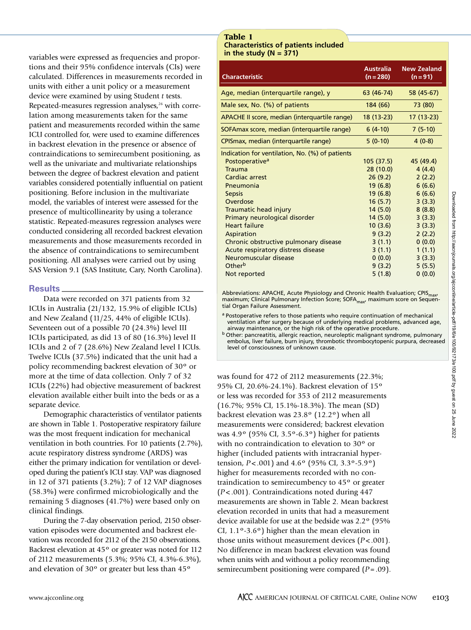variables were expressed as frequencies and proportions and their 95% confidence intervals (CIs) were calculated. Differences in measurements recorded in units with either a unit policy or a measurement device were examined by using Student *t* tests. Repeated-measures regression analyses, <sup>26</sup> with correlation among measurements taken for the same patient and measurements recorded within the same ICU controlled for, were used to examine differences in backrest elevation in the presence or absence of contraindications to semirecumbent positioning, as well as the univariate and multivariate relationships between the degree of backrest elevation and patient variables considered potentially influential on patient positioning. Before inclusion in the multivariate model, the variables of interest were assessed for the presence of multicollinearity by using a tolerance statistic. Repeated-measures regression analyses were conducted considering all recorded backrest elevation measurements and those measurements recorded in the absence of contraindications to semirecumbent positioning. All analyses were carried out by using SAS Version 9.1 (SAS Institute, Cary, North Carolina).

### **Results**

Data were recorded on 371 patients from 32 ICUs in Australia (21/132, 15.9% of eligible ICUs) and New Zealand (11/25, 44% of eligible ICUs). Seventeen out of a possible 70 (24.3%) level III ICUs participated, as did 13 of 80 (16.3%) level II ICUs and 2 of 7 (28.6%) New Zealand level I ICUs. Twelve ICUs (37.5%) indicated that the unit had a policy recommending backrest elevation of 30º or more at the time of data collection. Only 7 of 32 ICUs (22%) had objective measurement of backrest elevation available either built into the beds or as a separate device.

Demographic characteristics of ventilator patients are shown in Table 1. Postoperative respiratory failure was the most frequent indication for mechanical ventilation in both countries. For 10 patients (2.7%), acute respiratory distress syndrome (ARDS) was either the primary indication for ventilation or developed during the patient's ICU stay. VAP was diagnosed in 12 of 371 patients (3.2%); 7 of 12 VAP diagnoses (58.3%) were confirmed microbiologically and the remaining 5 diagnoses (41.7%) were based only on clinical findings.

During the 7-day observation period, 2150 observation episodes were documented and backrest elevation was recorded for 2112 of the 2150 observations. Backrest elevation at 45º or greater was noted for 112 of 2112 measurements (5.3%; 95% CI, 4.3%-6.3%), and elevation of 30º or greater but less than 45º

### **Table 1 Characteristics of patients included in the study (N = 371)**

| <b>Characteristic</b>                                                                                                                                                                                                                                                                                                                                                                    | <b>Australia</b><br>$(n = 280)$                                                                                                                       | <b>New Zealand</b><br>$(n = 91)$                                                                                                            |
|------------------------------------------------------------------------------------------------------------------------------------------------------------------------------------------------------------------------------------------------------------------------------------------------------------------------------------------------------------------------------------------|-------------------------------------------------------------------------------------------------------------------------------------------------------|---------------------------------------------------------------------------------------------------------------------------------------------|
| Age, median (interquartile range), y                                                                                                                                                                                                                                                                                                                                                     | 63 (46-74)                                                                                                                                            | 58 (45-67)                                                                                                                                  |
| Male sex, No. (%) of patients                                                                                                                                                                                                                                                                                                                                                            | 184 (66)                                                                                                                                              | 73 (80)                                                                                                                                     |
| APACHE II score, median (interquartile range)                                                                                                                                                                                                                                                                                                                                            | $18(13-23)$                                                                                                                                           | $17(13-23)$                                                                                                                                 |
| SOFAmax score, median (interquartile range)                                                                                                                                                                                                                                                                                                                                              | $6(4-10)$                                                                                                                                             | $7(5-10)$                                                                                                                                   |
| CPISmax, median (interquartile range)                                                                                                                                                                                                                                                                                                                                                    | $5(0-10)$                                                                                                                                             | $4(0-8)$                                                                                                                                    |
| Indication for ventilation, No. (%) of patients<br>Postoperative <sup>a</sup><br><b>Trauma</b><br>Cardiac arrest<br>Pneumonia<br><b>Sepsis</b><br>Overdose<br>Traumatic head injury<br>Primary neurological disorder<br><b>Heart failure</b><br>Aspiration<br>Chronic obstructive pulmonary disease<br>Acute respiratory distress disease<br>Neuromuscular disease<br>Other <sup>b</sup> | 105(37.5)<br>28 (10.0)<br>26(9.2)<br>19(6.8)<br>19(6.8)<br>16(5.7)<br>14(5.0)<br>14(5.0)<br>10(3.6)<br>9(3.2)<br>3(1.1)<br>3(1.1)<br>0(0.0)<br>9(3.2) | 45 (49.4)<br>4(4.4)<br>2(2.2)<br>6(6.6)<br>6(6.6)<br>3(3.3)<br>8(8.8)<br>3(3.3)<br>3(3.3)<br>2(2.2)<br>0(0.0)<br>1(1.1)<br>3(3.3)<br>5(5.5) |
| Not reported                                                                                                                                                                                                                                                                                                                                                                             | 5(1.8)                                                                                                                                                | 0(0.0)                                                                                                                                      |

Abbreviations: APACHE, Acute Physiology and Chronic Health Evaluation; CPIS<sub>max</sub> maximum; Clinical Pulmonary Infection Score; SOFA<sub>max</sub>, maximum score on Sequential Organ Failure Assessment.

<sup>a</sup> Postoperative refers to those patients who require continuation of mechanical ventilation after surgery because of underlying medical problems, advanced age, airway maintenance, or the high risk of the operative procedure.

<sup>b</sup> Other: pancreatitis, allergic reaction, neuroleptic malignant syndrome, pulmonary embolus, liver failure, burn injury, thrombotic thrombocytopenic purpura, decreased level of consciousness of unknown cause.

was found for 472 of 2112 measurements (22.3%; 95% CI, 20.6%-24.1%). Backrest elevation of 15º or less was recorded for 353 of 2112 measurements (16.7%; 95% CI, 15.1%-18.3%). The mean (SD) backrest elevation was 23.8º (12.2º) when all measurements were considered; backrest elevation was 4.9º (95% CI, 3.5º-6.3º) higher for patients with no contraindication to elevation to 30º or higher (included patients with intracranial hypertension, *P* < .001) and 4.6º (95% CI, 3.3º-5.9º) higher for measurements recorded with no contraindication to semirecumbency to 45º or greater (*P* < .001). Contraindications noted during 447 measurements are shown in Table 2. Mean backrest elevation recorded in units that had a measurement device available for use at the bedside was 2.2º (95% CI, 1.1º-3.6º) higher than the mean elevation in those units without measurement devices (*P* < .001). No difference in mean backrest elevation was found when units with and without a policy recommending semirecumbent positioning were compared (*P* = .09).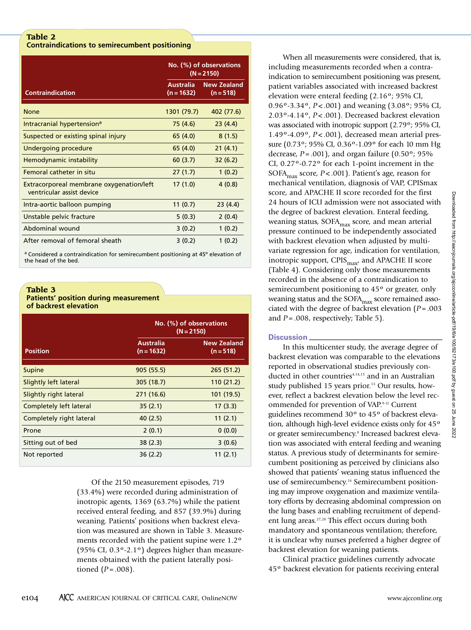### **Table 2 Contraindications to semirecumbent positioning**

|                                                                       | No. (%) of observations<br>$(N = 2150)$ |                                   |
|-----------------------------------------------------------------------|-----------------------------------------|-----------------------------------|
| <b>Contraindication</b>                                               | Australia<br>$(n = 1632)$               | <b>New Zealand</b><br>$(n = 518)$ |
| <b>None</b>                                                           | 1301 (79.7)                             | 402 (77.6)                        |
| Intracranial hypertension <sup>a</sup>                                | 75 (4.6)                                | 23(4.4)                           |
| Suspected or existing spinal injury                                   | 65 (4.0)                                | 8(1.5)                            |
| Undergoing procedure                                                  | 65(4.0)                                 | 21(4.1)                           |
| Hemodynamic instability                                               | 60(3.7)                                 | 32(6.2)                           |
| Femoral catheter in situ                                              | 27(1.7)                                 | 1(0.2)                            |
| Extracorporeal membrane oxygenation/left<br>ventricular assist device | 17(1.0)                                 | 4(0.8)                            |
| Intra-aortic balloon pumping                                          | 11(0.7)                                 | 23(4.4)                           |
| Unstable pelvic fracture                                              | 5(0.3)                                  | 2(0.4)                            |
| Abdominal wound                                                       | 3(0.2)                                  | 1(0.2)                            |
| After removal of femoral sheath                                       | 3(0.2)                                  | 1(0.2)                            |

<sup>a</sup> Considered a contraindication for semirecumbent positioning at 45º elevation of the head of the bed.

### **Table 3 Patients' position during measurement of backrest elevation**

|                          |                                | No. (%) of observations<br>$(N = 2150)$ |  |
|--------------------------|--------------------------------|-----------------------------------------|--|
| <b>Position</b>          | <b>Australia</b><br>(n = 1632) | <b>New Zealand</b><br>$(n = 518)$       |  |
| <b>Supine</b>            | 905 (55.5)                     | 265 (51.2)                              |  |
| Slightly left lateral    | 305 (18.7)                     | 110 (21.2)                              |  |
| Slightly right lateral   | 271 (16.6)                     | 101 (19.5)                              |  |
| Completely left lateral  | 35(2.1)                        | 17(3.3)                                 |  |
| Completely right lateral | 40(2.5)                        | 11(2.1)                                 |  |
| Prone                    | 2(0.1)                         | 0(0.0)                                  |  |
| Sitting out of bed       | 38(2.3)                        | 3(0.6)                                  |  |
| Not reported             | 36(2.2)                        | 11(2.1)                                 |  |

Of the 2150 measurement episodes, 719 (33.4%) were recorded during administration of inotropic agents, 1369 (63.7%) while the patient received enteral feeding, and 857 (39.9%) during weaning. Patients' positions when backrest elevation was measured are shown in Table 3. Measurements recorded with the patient supine were 1.2º (95% CI,  $0.3^{\circ}$ -2.1°) degrees higher than measurements obtained with the patient laterally positioned  $(P = .008)$ .

When all measurements were considered, that is, including measurements recorded when a contraindication to semirecumbent positioning was present, patient variables associated with increased backrest elevation were enteral feeding (2.16º; 95% CI, 0.96º-3.34º, *P* < .001) and weaning (3.08º; 95% CI, 2.03º-4.14º, *P* < .001). Decreased backrest elevation was associated with inotropic support (2.79º; 95% CI, 1.49º-4.09º, *P* < .001), decreased mean arterial pressure (0.73º; 95% CI, 0.36º-1.09º for each 10 mm Hg decrease,  $P = .001$ ), and organ failure (0.50°; 95%) CI, 0.27º-0.72º for each 1-point increment in the SOFAmax score, *P* < .001). Patient's age, reason for mechanical ventilation, diagnosis of VAP, CPISmax score, and APACHE II score recorded for the first 24 hours of ICU admission were not associated with the degree of backrest elevation. Enteral feeding, weaning status, SOFA<sub>max</sub> score, and mean arterial pressure continued to be independently associated with backrest elevation when adjusted by multivariate regression for age, indication for ventilation, inotropic support,  $CPIS<sub>max'</sub>$  and APACHE II score (Table 4). Considering only those measurements recorded in the absence of a contraindication to semirecumbent positioning to 45º or greater, only weaning status and the  $\text{SOFA}_{\text{max}}$  score remained associated with the degree of backrest elevation (*P* = .003 and *P* = .008, respectively; Table 5).

### **Discussion**

In this multicenter study, the average degree of backrest elevation was comparable to the elevations reported in observational studies previously conducted in other countries<sup>4,14,15</sup> and in an Australian study published 15 years prior. <sup>13</sup> Our results, however, reflect a backrest elevation below the level recommended for prevention of VAP. 9-11 Current guidelines recommend 30º to 45º of backrest elevation, although high-level evidence exists only for 45º or greater semirecumbency. <sup>8</sup> Increased backrest elevation was associated with enteral feeding and weaning status. A previous study of determinants for semirecumbent positioning as perceived by clinicians also showed that patients' weaning status influenced the use of semirecumbency. <sup>16</sup> Semirecumbent positioning may improve oxygenation and maximize ventilatory efforts by decreasing abdominal compression on the lung bases and enabling recruitment of dependent lung areas. 27,28 This effect occurs during both mandatory and spontaneous ventilation; therefore, it is unclear why nurses preferred a higher degree of backrest elevation for weaning patients.

Clinical practice guidelines currently advocate 45º backrest elevation for patients receiving enteral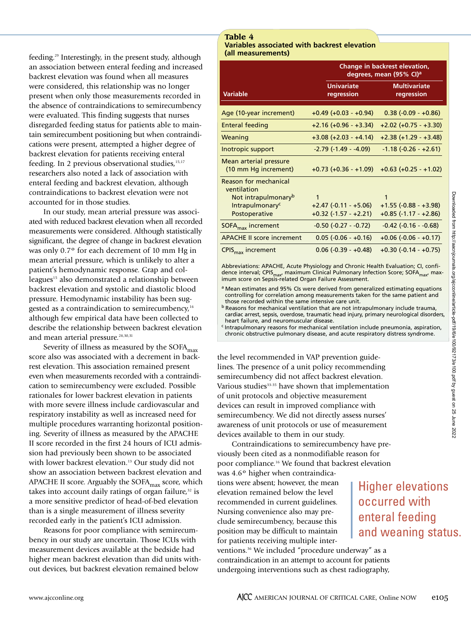feeding. <sup>29</sup> Interestingly, in the present study, although an association between enteral feeding and increased backrest elevation was found when all measures were considered, this relationship was no longer present when only those measurements recorded in the absence of contraindications to semirecumbency were evaluated. This finding suggests that nurses disregarded feeding status for patients able to maintain semirecumbent positioning but when contraindications were present, attempted a higher degree of backrest elevation for patients receiving enteral feeding. In 2 previous observational studies,<sup>15,17</sup> researchers also noted a lack of association with enteral feeding and backrest elevation, although contraindications to backrest elevation were not accounted for in those studies.

In our study, mean arterial pressure was associated with reduced backrest elevation when all recorded measurements were considered. Although statistically significant, the degree of change in backrest elevation was only 0.7º for each decrement of 10 mm Hg in mean arterial pressure, which is unlikely to alter a patient's hemodynamic response. Grap and colleagues<sup>15</sup> also demonstrated a relationship between backrest elevation and systolic and diastolic blood pressure. Hemodynamic instability has been suggested as a contraindication to semirecumbency, 16 although few empirical data have been collected to describe the relationship between backrest elevation and mean arterial pressure. 28,30,31

Severity of illness as measured by the SOFA<sub>max</sub> score also was associated with a decrement in backrest elevation. This association remained present even when measurements recorded with a contraindication to semirecumbency were excluded. Possible rationales for lower backrest elevation in patients with more severe illness include cardiovascular and respiratory instability as well as increased need for multiple procedures warranting horizontal positioning. Severity of illness as measured by the APACHE II score recorded in the first 24 hours of ICU admission had previously been shown to be associated with lower backrest elevation. <sup>13</sup> Our study did not show an association between backrest elevation and APACHE II score. Arguably the SOFA<sub>max</sub> score, which takes into account daily ratings of organ failure,<sup>32</sup> is a more sensitive predictor of head-of-bed elevation than is a single measurement of illness severity recorded early in the patient's ICU admission.

Reasons for poor compliance with semirecumbency in our study are uncertain. Those ICUs with measurement devices available at the bedside had higher mean backrest elevation than did units without devices, but backrest elevation remained below

**Table 4 Variables associated with backrest elevation (all measurements)**

|                                                       | Change in backrest elevation,<br>degrees, mean (95% CI) <sup>a</sup> |                                   |
|-------------------------------------------------------|----------------------------------------------------------------------|-----------------------------------|
| <b>Variable</b>                                       | <b>Univariate</b><br>regression                                      | <b>Multivariate</b><br>regression |
| Age (10-year increment)                               | $+0.49 (+0.03 - +0.94)$                                              | $0.38$ (-0.09 - +0.86)            |
| <b>Enteral feeding</b>                                | $+2.16 (+0.96 - +3.34)$                                              | $+2.02 (+0.75 - +3.30)$           |
| Weaning                                               | $+3.08 (+2.03 - +4.14)$                                              | $+2.38 (+1.29 - +3.48)$           |
| Inotropic support                                     | $-2.79$ ( $-1.49$ - $-4.09$ )                                        | $-1.18(-0.26 - +2.61)$            |
| <b>Mean arterial pressure</b><br>(10 mm Hg increment) | $+0.73 (+0.36 - +1.09)$                                              | $+0.63 (+0.25 - +1.02)$           |
| Reason for mechanical<br>ventilation                  |                                                                      |                                   |
| Not intrapulmonary <sup>b</sup>                       | 1                                                                    | 1                                 |
| Intrapulmonary <sup>c</sup>                           | $+2.47$ (-0.11 - +5.06)                                              | $+1.55(-0.88 - +3.98)$            |
| Postoperative                                         | $+0.32$ (-1.57 - +2.21)                                              | $+0.85$ (-1.17 - +2.86)           |
| $SOPAmax$ increment                                   | $-0.50$ ( $-0.27 - 0.72$ )                                           | $-0.42$ ( $-0.16 - 0.68$ )        |
| <b>APACHE II score increment</b>                      | $0.05$ (-0.06 - +0.16)                                               | $+0.06(-0.06 - +0.17)$            |
| CPIS <sub>max</sub> increment                         | $0.06$ (-0.39 - +0.48)                                               | $+0.30(-0.14 - +0.75)$            |

Abbreviations: APACHE, Acute Physiology and Chronic Health Evaluation; CI, confidence interval; CPIS<sub>max</sub>, maximum Clinical Pulmonary Infection Score; SOFA<sub>max</sub>, maximum score on Sepsis-related Organ Failure Assessment.

a Mean estimates and 95% CIs were derived from generalized estimating equations controlling for correlation among measurements taken for the same patient and those recorded within the same intensive care unit.

<sup>b</sup> Reasons for mechanical ventilation that are not intrapulmonary include trauma, cardiac arrest, sepsis, overdose, traumatic head injury, primary neurological disorders, heart failure, and neuromuscular disease.

<sup>c</sup> Intrapulmonary reasons for mechanical ventilation include pneumonia, aspiration, chronic obstructive pulmonary disease, and acute respiratory distress syndrome.

the level recommended in VAP prevention guidelines. The presence of a unit policy recommending semirecumbency did not affect backrest elevation. Various studies<sup>33-35</sup> have shown that implementation of unit protocols and objective measurement devices can result in improved compliance with semirecumbency. We did not directly assess nurses' awareness of unit protocols or use of measurement devices available to them in our study.

Contraindications to semirecumbency have previously been cited as a nonmodifiable reason for poor compliance. <sup>16</sup> We found that backrest elevation

was 4.6º higher when contraindications were absent; however, the mean elevation remained below the level recommended in current guidelines. Nursing convenience also may preclude semirecumbency, because this position may be difficult to maintain for patients receiving multiple inter-

ventions. <sup>36</sup> We included "procedure underway" as a contraindication in an attempt to account for patients undergoing interventions such as chest radiography,

# Higher elevations occurred with enteral feeding  $\begin{array}{r} \textbf{1} \textbf{2} \textbf{1} \textbf{2} \textbf{2} \textbf{3} \textbf{4} \textbf{5} \textbf{3} \textbf{6} \textbf{6} \textbf{7} \textbf{8} \textbf{8} \textbf{9} \textbf{1} \textbf{1} \textbf{1} \textbf{1} \textbf{2} \textbf{1} \textbf{1} \textbf{2} \textbf{1} \textbf{3} \textbf{1} \textbf{1} \textbf{2} \textbf{1} \textbf{3} \textbf{1} \textbf{1} \textbf{2} \textbf{1} \textbf{3} \textbf$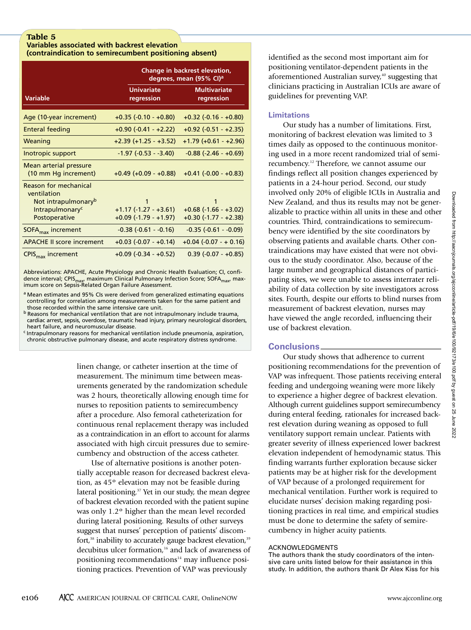### **Table 5 Variables associated with backrest elevation (contraindication to semirecumbent positioning absent)**

|                                                | Change in backrest elevation,<br>degrees, mean (95% CI) <sup>a</sup> |                                   |
|------------------------------------------------|----------------------------------------------------------------------|-----------------------------------|
| <b>Variable</b>                                | <b>Univariate</b><br>regression                                      | <b>Multivariate</b><br>regression |
| Age (10-year increment)                        | $+0.35$ (-0.10 - +0.80)                                              | $+0.32$ (-0.16 - +0.80)           |
| Enteral feeding                                | $+0.90$ (-0.41 - +2.22)                                              | $+0.92$ (-0.51 - +2.35)           |
| Weaning                                        | $+2.39 (+1.25 - +3.52)$                                              | $+1.79 (+0.61 - +2.96)$           |
| Inotropic support                              | $-1.97$ ( $-0.53 - -3.40$ )                                          | $-0.88$ ( $-2.46 - +0.69$ )       |
| Mean arterial pressure<br>(10 mm Hg increment) | $+0.49 (+0.09 - +0.88)$                                              | $+0.41$ (-0.00 - +0.83)           |
| <b>Reason for mechanical</b><br>ventilation    |                                                                      |                                   |
| Not intrapulmonary <sup>b</sup>                | 1<br>$+1.17(-1.27 - +3.61)$                                          | 1<br>$+0.68$ (-1.66 - +3.02)      |
| Intrapulmonary <sup>c</sup><br>Postoperative   | $+0.09$ (-1.79 - +1.97)                                              | $+0.30$ (-1.77 - +2.38)           |
| SOFA <sub>max</sub> increment                  | $-0.38$ $(-0.61 - 0.16)$                                             | $-0.35$ ( $-0.61 - 0.09$ )        |
| <b>APACHE II score increment</b>               | $+0.03$ (-0.07 - +0.14)                                              | $+0.04$ (-0.07 - + 0.16)          |
| $CPISmax$ increment                            | $+0.09$ (-0.34 - +0.52)                                              | $0.39$ (-0.07 - +0.85)            |

Abbreviations: APACHE, Acute Physiology and Chronic Health Evaluation; CI, confidence interval; CPIS<sub>max</sub>, maximum Clinical Pulmonary Infection Score; SOFA<sub>max</sub>, maximum score on Sepsis-Related Organ Failure Assessment.

a Mean estimates and 95% CIs were derived from generalized estimating equations controlling for correlation among measurements taken for the same patient and those recorded within the same intensive care unit.

b Reasons for mechanical ventilation that are not intrapulmonary include trauma, cardiac arrest, sepsis, overdose, traumatic head injury, primary neurological disorders, heart failure, and neuromuscular disease.

<sup>c</sup> Intrapulmonary reasons for mechanical ventilation include pneumonia, aspiration, chronic obstructive pulmonary disease, and acute respiratory distress syndrome.

> linen change, or catheter insertion at the time of measurement. The minimum time between measurements generated by the randomization schedule was 2 hours, theoretically allowing enough time for nurses to reposition patients to semirecumbency after a procedure. Also femoral catheterization for continuous renal replacement therapy was included as a contraindication in an effort to account for alarms associated with high circuit pressures due to semirecumbency and obstruction of the access catheter.

> Use of alternative positions is another potentially acceptable reason for decreased backrest elevation, as 45º elevation may not be feasible during lateral positioning. <sup>37</sup> Yet in our study, the mean degree of backrest elevation recorded with the patient supine was only 1.2º higher than the mean level recorded during lateral positioning. Results of other surveys suggest that nurses' perception of patients' discomfort,<sup>38</sup> inability to accurately gauge backrest elevation,<sup>39</sup> decubitus ulcer formation, <sup>16</sup> and lack of awareness of positioning recommendations<sup>14</sup> may influence positioning practices. Prevention of VAP was previously

identified as the second most important aim for positioning ventilator-dependent patients in the aforementioned Australian survey, <sup>40</sup> suggesting that clinicians practicing in Australian ICUs are aware of guidelines for preventing VAP.

### **Limitations**

Our study has a number of limitations. First, monitoring of backrest elevation was limited to 3 times daily as opposed to the continuous monitoring used in a more recent randomized trial of semirecumbency. <sup>12</sup> Therefore, we cannot assume our findings reflect all position changes experienced by patients in a 24-hour period. Second, our study involved only 20% of eligible ICUs in Australia and New Zealand, and thus its results may not be generalizable to practice within all units in these and other countries. Third, contraindications to semirecumbency were identified by the site coordinators by observing patients and available charts. Other contraindications may have existed that were not obvious to the study coordinator. Also, because of the large number and geographical distances of participating sites, we were unable to assess interrater reliability of data collection by site investigators across sites. Fourth, despite our efforts to blind nurses from measurement of backrest elevation, nurses may have viewed the angle recorded, influencing their use of backrest elevation.

### **Conclusions**

Our study shows that adherence to current positioning recommendations for the prevention of VAP was infrequent. Those patients receiving enteral feeding and undergoing weaning were more likely to experience a higher degree of backrest elevation. Although current guidelines support semirecumbency during enteral feeding, rationales for increased backrest elevation during weaning as opposed to full ventilatory support remain unclear. Patients with greater severity of illness experienced lower backrest elevation independent of hemodynamic status. This finding warrants further exploration because sicker patients may be at higher risk for the development of VAP because of a prolonged requirement for mechanical ventilation. Further work is required to elucidate nurses' decision making regarding positioning practices in real time, and empirical studies must be done to determine the safety of semirecumbency in higher acuity patients.

### ACkNOwLeDGMeNTS

The authors thank the study coordinators of the intensive care units listed below for their assistance in this study. In addition, the authors thank Dr Alex kiss for his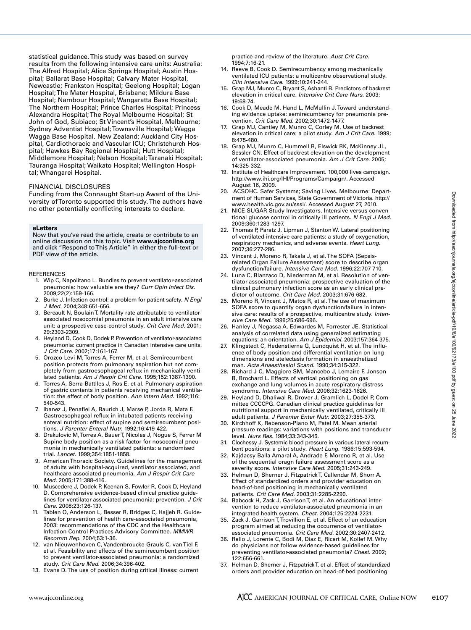statistical guidance.This study was based on survey results from the following intensive care units: Australia: The Alfred Hospital; Alice Springs Hospital; Austin Hospital; Ballarat Base Hospital; Calvary Mater Hospital, Newcastle; Frankston Hospital; Geelong Hospital; Logan Hospital;The Mater Hospital, Brisbane; Mildura Base Hospital; Nambour Hospital; wangaratta Base Hospital; The Northern Hospital; Prince Charles Hospital; Princess Alexandra Hospital;The Royal Melbourne Hospital; St John of God, Subiaco; St Vincent's Hospital, Melbourne; Sydney Adventist Hospital;Townsville Hospital; wagga wagga Base Hospital. New Zealand: Auckland City Hospital, Cardiothoracic and Vascular ICU; Christchurch Hospital; Hawkes Bay Regional Hospital; Hutt Hospital; Middlemore Hospital; Nelson Hospital; Taranaki Hospital; Tauranga Hospital; waikato Hospital; wellington Hospital; whangarei Hospital.

### FINANCIAL DISCLOSUReS

Funding from the Connaught Start-up Award of the University ofToronto supported this study.The authors have no other potentially conflicting interests to declare.

### **eLetters**

Now that you've read the article, create or contribute to an online discussion on this topic. Visit **www.ajcconline.org** and click "Respond toThis Article" in either the full-text or PDF view of the article.

### **REFERENCES**

- 1. wip C, Napolitano L. Bundles to prevent ventilator-associated pneumonia: how valuable are they? *Curr Opin Infect Dis.* 2009;22(2):159-166.
- 2. Burke J. Infection control: a problem for patient safety. *N Engl J Med.* 2004;348:651-656.
- 3. Bercault N, BoulainT. Mortality rate attributable to ventilatorassociated nosocomial pneumonia in an adult intensive care unit: a prospective case-control study. *Crit Care Med.* 2001; 29:2303-2309.
- 4. Heyland D, Cook D, Dodek P. Prevention of ventilator-associated pneumonia: current practice in Canadian intensive care units. *J Crit Care.* 2002;17:161-167.
- 5. Orozco-Levi M,Torres A, Ferrer M, et al. Semirecumbent position protects from pulmonary aspiration but not completely from gastroesophageal reflux in mechanically ventilated patients. *Am J Respir Crit Care.* 1995;152:1387-1390.
- 6. Torres A, Serra-Battlles J, Ros E, et al. Pulmonary aspiration of gastric contents in patients receiving mechanical ventilation: the effect of body position. *Ann Intern Med.* 1992;116: 540-543.
- 7. Ibanez J, Penafiel A, Raurich J, Marse P, Jorda R, Mata F. Gastroesophageal reflux in intubated patients receiving enteral nutrition: effect of supine and semirecumbent positions. *J Parenter Enteral Nutr.* 1992;16:419-422.
- 8. Drakulovic M,Torres A, BauerT, Nicolas J, Nogue S, Ferrer M Supine body position as a risk factor for nosocomial pneumonia in mechanically ventilated patients: a randomised trial. *Lancet.* 1999;354:1851-1858.
- 9. AmericanThoracic Society. Guidelines for the management of adults with hospital-acquired, ventilator associated, and healthcare associated pneumonia. *Am J Respir Crit Care Med.* 2005;171:388-416.
- 10. Muscedere J, Dodek P, keenan S, Fowler R, Cook D, Heyland D. Comprehensive evidence-based clinical practice guidelines for ventilator-associated pneumonia: prevention. *J Crit Care.* 2008;23:126-137.
- 11. Tablen O, Anderson L, Besser R, Bridges C, Hajjeh R. Guidelines for prevention of health care-associated pneumonia, 2003: recommendations of the CDC and the Healthcare Infection Control Practices Advisory Committee. *MMWR Recomm Rep.* 2004;53:1-36.
- 12. van Nieuwenhoven C, Vandenbroucke-Grauls C, vanTiel F, et al. Feasibility and effects of the semirecumbent position to prevent ventilator-associated pneumonia: a randomized study. *Crit Care Med.* 2006;34:396-402.
- 13. Evans D. The use of position during critical illness: current

practice and review of the literature. *Aust Crit Care.* 1994;7:16-21.

- 14. Reeve B, Cook D. Semirecumbency among mechanically ventilated ICU patients: a multicentre observational study. *Clin Intensive Care.* 1999;10:241-244.
- 15. Grap MJ, Munro C, Bryant S, Ashanti B. Predictors of backrest elevation in critical care. *Intensive Crit Care Nurs.* 2003; 19:68-74.
- 16. Cook D, Meade M, Hand L, McMullin J.Toward understanding evidence uptake: semirecumbency for pneumonia prevention. *Crit Care Med.* 2002;30:1472-1477.
- 17. Grap MJ, Cantley M, Munro C, Corley M. Use of backrest elevation in critical care: a pilot study. *Am J Crit Care.* 1999; 8:475-480.
- 18. Grap MJ, Munro C, Hummell R, elswick Rk, Mckinney JL, Sessler CN. Effect of backrest elevation on the development of ventilator-associated pneumonia. *Am J Crit Care.* 2005; 14:325-332.
- 19. Institute of Healthcare Improvement. 100,000 lives campaign. http://www.ihi.org/IHI/Programs/Campaign/. Accessed August 16, 2009.
- 20. ACSQHC. Safer Systems; Saving Lives. Melbourne: Department of Human Services, State Government of Victoria. http:// www.health.vic.gov.au/sssl/. Accessed August 27, 2010.
- 21. NICe-SUGAR Study Investigators. Intensive versus conventional glucose control in critically ill patients. *N Engl J Med.* 2009;360:1283-1297.
- 22. Thomas P, Paratz J, Lipman J, Stanton W. Lateral positioning of ventilated intensive care patients: a study of oxygenation, respiratory mechanics, and adverse events. *Heart Lung.* 2007;36:277-286.
- 23. Vincent J, Moreno R,Takala J, et al.The SOFA (Sepsisrelated Organ Failure Assessment) score to describe organ dysfunction/failure. *Intensive Care Med.* 1996;22:707-710.
- 24. Luna C, Blanzaco D, Niederman M, et al. Resolution of ventilator-associated pneumonia: prospective evaluation of the clinical pulmonary infection score as an early clinical predictor of outcome. *Crit Care Med.* 2003;31:676-682.
- 25. Moreno R, Vincent J, Matos R, et al.The use of maximum SOFA score to quantify organ dysfunction/failure in intensive care: results of a prospective, multicentre study. *Intensive Care Med.* 1999;25:686-696.
- 26. Hanley J, Negassa A, Edwardes M, Forrester JE. Statistical analysis of correlated data using generalized estimating equations: an orientation. *Am J Epidemiol.* 2003;157:364-375.
- 27. klingstedt C, Hedenstierna G, Lundquist H, et al.The influence of body position and differential ventilation on lung dimensions and atelectasis formation in anaesthetized man. *Acta Anaesthesiol Scand.* 1990;34:315-322.
- 28. Richard J-C, Maggiore SM, Mancebo J, Lemaire F, Jonson B, Brochard L. effects of vertical positioning on gas exchange and lung volumes in acute respiratory distress syndrome. *Intensive Care Med.* 2006;32:1623-1626.
- 29. Heyland D, Dhaliwal R, Drover J, Gramlich L, Dodel P, Committee CCCCPG. Canadian clinical practice guidelines for nutritional support in mechanically ventilated, critically ill adult patients. *J Parenter Enter Nutr.* 2003;27:355-373.
- 30. kirchhoff k, Rebenson-Piano M, Patel M. Mean arterial pressure readings: variations with positions and transducer level. *Nurs Res.* 1984;33:343-345.
- 31. Clochessy J. Systemic blood pressure in various lateral recumbent positions: a pilot study. *Heart Lung.* 1986;15:593-594.
- 32. kajdacsy-Balla Amaral A, Andrade F, Moreno R, et al. Use of the sequential oragn failure assessment score as a severity score. *Intensive Care Med.* 2005;31:243-249.
- 33. Helman D, Sherner J, FitzpatrickT, Callendar M, Shorr A. Effect of standardized orders and provider education on head-of-bed positioning in mechanically ventilated patients. *Crit Care Med.* 2003;31:2285-2290.
- 34. Babcock H, Zack J, GarrisonT, et al. An educational intervention to reduce ventilator-associated pneumonia in an integrated health system. *Chest.* 2004;125:2224-2231.
- 35. Zack J, Garrison T, Trovillion E, et al. Effect of an education program aimed at reducing the occurrence of ventilatorassociated pneumonia. *Crit Care Med.* 2002;30:2407-2412.
- 36. Rello J, Lorente C, Bodi M, Diaz E, Ricart M, Kollef M. Why do physicians not follow evidence-based guidelines for preventing ventilator-associated pneumonia? *Chest.* 2002; 122:656-661.
- 37. Helman D, Sherner J, Fitzpatrick T, et al. Effect of standardized orders and provider education on head-of-bed positioning